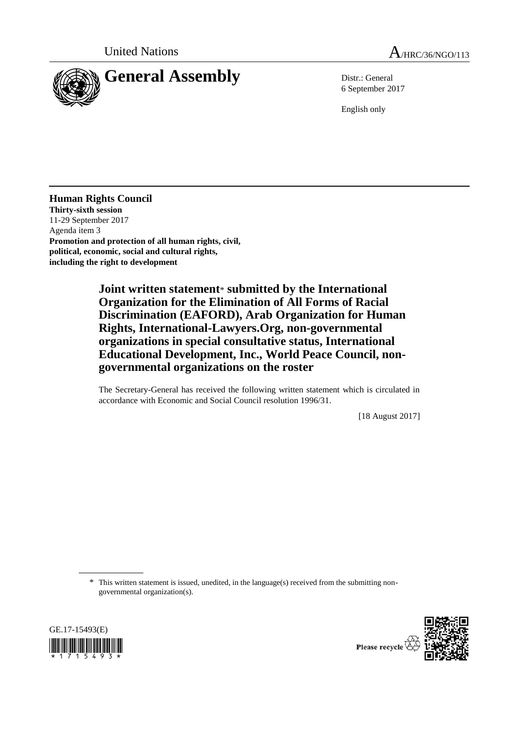



6 September 2017

English only

**Human Rights Council Thirty-sixth session** 11-29 September 2017 Agenda item 3 **Promotion and protection of all human rights, civil, political, economic, social and cultural rights, including the right to development**

> **Joint written statement**\* **submitted by the International Organization for the Elimination of All Forms of Racial Discrimination (EAFORD), Arab Organization for Human Rights, International-Lawyers.Org, non-governmental organizations in special consultative status, International Educational Development, Inc., World Peace Council, nongovernmental organizations on the roster**

The Secretary-General has received the following written statement which is circulated in accordance with Economic and Social Council resolution 1996/31.

[18 August 2017]

\* This written statement is issued, unedited, in the language(s) received from the submitting nongovernmental organization(s).



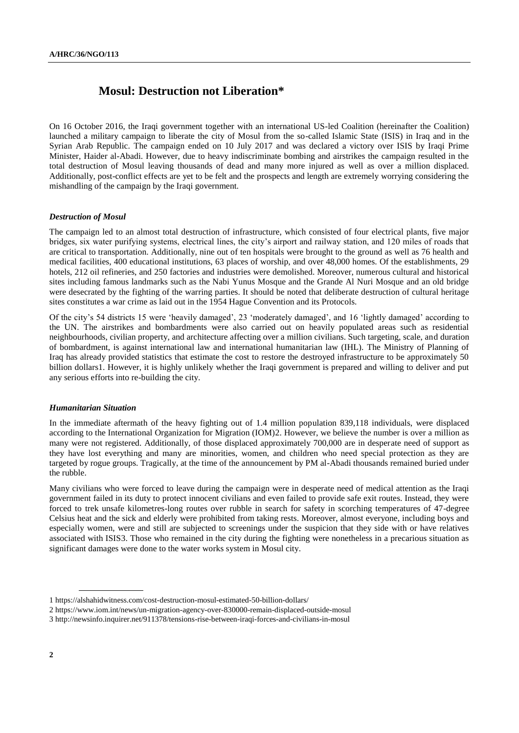# **Mosul: Destruction not Liberation\***

On 16 October 2016, the Iraqi government together with an international US-led Coalition (hereinafter the Coalition) launched a military campaign to liberate the city of Mosul from the so-called Islamic State (ISIS) in Iraq and in the Syrian Arab Republic. The campaign ended on 10 July 2017 and was declared a victory over ISIS by Iraqi Prime Minister, Haider al-Abadi. However, due to heavy indiscriminate bombing and airstrikes the campaign resulted in the total destruction of Mosul leaving thousands of dead and many more injured as well as over a million displaced. Additionally, post-conflict effects are yet to be felt and the prospects and length are extremely worrying considering the mishandling of the campaign by the Iraqi government.

# *Destruction of Mosul*

The campaign led to an almost total destruction of infrastructure, which consisted of four electrical plants, five major bridges, six water purifying systems, electrical lines, the city's airport and railway station, and 120 miles of roads that are critical to transportation. Additionally, nine out of ten hospitals were brought to the ground as well as 76 health and medical facilities, 400 educational institutions, 63 places of worship, and over 48,000 homes. Of the establishments, 29 hotels, 212 oil refineries, and 250 factories and industries were demolished. Moreover, numerous cultural and historical sites including famous landmarks such as the Nabi Yunus Mosque and the Grande Al Nuri Mosque and an old bridge were desecrated by the fighting of the warring parties. It should be noted that deliberate destruction of cultural heritage sites constitutes a war crime as laid out in the 1954 Hague Convention and its Protocols.

Of the city's 54 districts 15 were 'heavily damaged', 23 'moderately damaged', and 16 'lightly damaged' according to the UN. The airstrikes and bombardments were also carried out on heavily populated areas such as residential neighbourhoods, civilian property, and architecture affecting over a million civilians. Such targeting, scale, and duration of bombardment, is against international law and international humanitarian law (IHL). The Ministry of Planning of Iraq has already provided statistics that estimate the cost to restore the destroyed infrastructure to be approximately 50 billion dollars1. However, it is highly unlikely whether the Iraqi government is prepared and willing to deliver and put any serious efforts into re-building the city.

#### *Humanitarian Situation*

In the immediate aftermath of the heavy fighting out of 1.4 million population 839,118 individuals, were displaced according to the International Organization for Migration (IOM)2. However, we believe the number is over a million as many were not registered. Additionally, of those displaced approximately 700,000 are in desperate need of support as they have lost everything and many are minorities, women, and children who need special protection as they are targeted by rogue groups. Tragically, at the time of the announcement by PM al-Abadi thousands remained buried under the rubble.

Many civilians who were forced to leave during the campaign were in desperate need of medical attention as the Iraqi government failed in its duty to protect innocent civilians and even failed to provide safe exit routes. Instead, they were forced to trek unsafe kilometres-long routes over rubble in search for safety in scorching temperatures of 47-degree Celsius heat and the sick and elderly were prohibited from taking rests. Moreover, almost everyone, including boys and especially women, were and still are subjected to screenings under the suspicion that they side with or have relatives associated with ISIS3. Those who remained in the city during the fighting were nonetheless in a precarious situation as significant damages were done to the water works system in Mosul city.

<sup>1</sup> https://alshahidwitness.com/cost-destruction-mosul-estimated-50-billion-dollars/

<sup>2</sup> https://www.iom.int/news/un-migration-agency-over-830000-remain-displaced-outside-mosul

<sup>3</sup> http://newsinfo.inquirer.net/911378/tensions-rise-between-iraqi-forces-and-civilians-in-mosul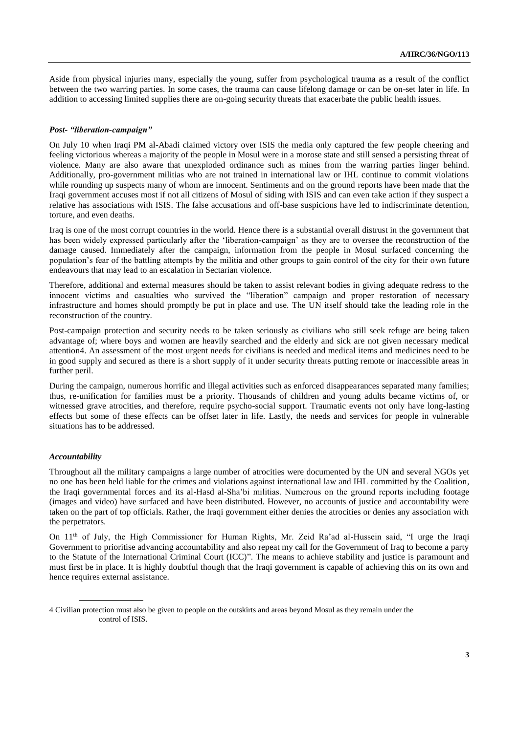Aside from physical injuries many, especially the young, suffer from psychological trauma as a result of the conflict between the two warring parties. In some cases, the trauma can cause lifelong damage or can be on-set later in life. In addition to accessing limited supplies there are on-going security threats that exacerbate the public health issues.

### *Post- "liberation-campaign"*

On July 10 when Iraqi PM al-Abadi claimed victory over ISIS the media only captured the few people cheering and feeling victorious whereas a majority of the people in Mosul were in a morose state and still sensed a persisting threat of violence. Many are also aware that unexploded ordinance such as mines from the warring parties linger behind. Additionally, pro-government militias who are not trained in international law or IHL continue to commit violations while rounding up suspects many of whom are innocent. Sentiments and on the ground reports have been made that the Iraqi government accuses most if not all citizens of Mosul of siding with ISIS and can even take action if they suspect a relative has associations with ISIS. The false accusations and off-base suspicions have led to indiscriminate detention, torture, and even deaths.

Iraq is one of the most corrupt countries in the world. Hence there is a substantial overall distrust in the government that has been widely expressed particularly after the 'liberation-campaign' as they are to oversee the reconstruction of the damage caused. Immediately after the campaign, information from the people in Mosul surfaced concerning the population's fear of the battling attempts by the militia and other groups to gain control of the city for their own future endeavours that may lead to an escalation in Sectarian violence.

Therefore, additional and external measures should be taken to assist relevant bodies in giving adequate redress to the innocent victims and casualties who survived the "liberation" campaign and proper restoration of necessary infrastructure and homes should promptly be put in place and use. The UN itself should take the leading role in the reconstruction of the country.

Post-campaign protection and security needs to be taken seriously as civilians who still seek refuge are being taken advantage of; where boys and women are heavily searched and the elderly and sick are not given necessary medical attention4. An assessment of the most urgent needs for civilians is needed and medical items and medicines need to be in good supply and secured as there is a short supply of it under security threats putting remote or inaccessible areas in further peril.

During the campaign, numerous horrific and illegal activities such as enforced disappearances separated many families; thus, re-unification for families must be a priority. Thousands of children and young adults became victims of, or witnessed grave atrocities, and therefore, require psycho-social support. Traumatic events not only have long-lasting effects but some of these effects can be offset later in life. Lastly, the needs and services for people in vulnerable situations has to be addressed.

#### *Accountability*

Throughout all the military campaigns a large number of atrocities were documented by the UN and several NGOs yet no one has been held liable for the crimes and violations against international law and IHL committed by the Coalition, the Iraqi governmental forces and its al-Hasd al-Sha'bi militias. Numerous on the ground reports including footage (images and video) have surfaced and have been distributed. However, no accounts of justice and accountability were taken on the part of top officials. Rather, the Iraqi government either denies the atrocities or denies any association with the perpetrators.

On 11th of July, the High Commissioner for Human Rights, Mr. Zeid Ra'ad al-Hussein said, "I urge the Iraqi Government to prioritise advancing accountability and also repeat my call for the Government of Iraq to become a party to the Statute of the International Criminal Court (ICC)". The means to achieve stability and justice is paramount and must first be in place. It is highly doubtful though that the Iraqi government is capable of achieving this on its own and hence requires external assistance.

<sup>4</sup> Civilian protection must also be given to people on the outskirts and areas beyond Mosul as they remain under the control of ISIS.